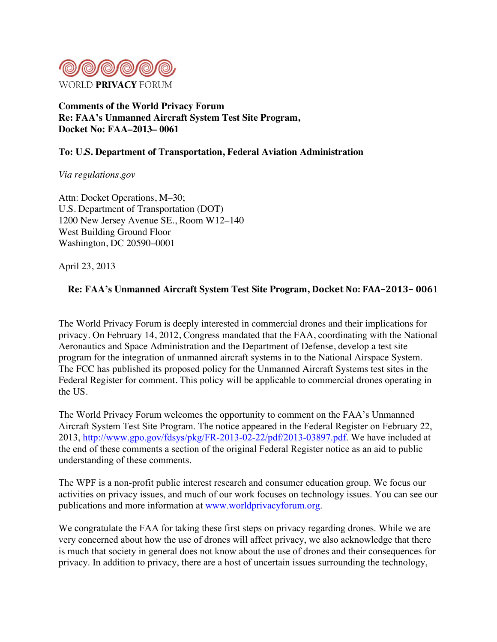

**Comments of the World Privacy Forum Re: FAA's Unmanned Aircraft System Test Site Program, Docket No: FAA–2013– 0061** 

### **To: U.S. Department of Transportation, Federal Aviation Administration**

*Via regulations.gov*

Attn: Docket Operations, M–30; U.S. Department of Transportation (DOT) 1200 New Jersey Avenue SE., Room W12–140 West Building Ground Floor Washington, DC 20590–0001

April 23, 2013

### **Re: FAA's Unmanned Aircraft System Test Site Program, Docket No: FAA-2013-0061**

The World Privacy Forum is deeply interested in commercial drones and their implications for privacy. On February 14, 2012, Congress mandated that the FAA, coordinating with the National Aeronautics and Space Administration and the Department of Defense, develop a test site program for the integration of unmanned aircraft systems in to the National Airspace System. The FCC has published its proposed policy for the Unmanned Aircraft Systems test sites in the Federal Register for comment. This policy will be applicable to commercial drones operating in the US.

The World Privacy Forum welcomes the opportunity to comment on the FAA's Unmanned Aircraft System Test Site Program. The notice appeared in the Federal Register on February 22, 2013, http://www.gpo.gov/fdsys/pkg/FR-2013-02-22/pdf/2013-03897.pdf. We have included at the end of these comments a section of the original Federal Register notice as an aid to public understanding of these comments.

The WPF is a non-profit public interest research and consumer education group. We focus our activities on privacy issues, and much of our work focuses on technology issues. You can see our publications and more information at www.worldprivacyforum.org.

We congratulate the FAA for taking these first steps on privacy regarding drones. While we are very concerned about how the use of drones will affect privacy, we also acknowledge that there is much that society in general does not know about the use of drones and their consequences for privacy. In addition to privacy, there are a host of uncertain issues surrounding the technology,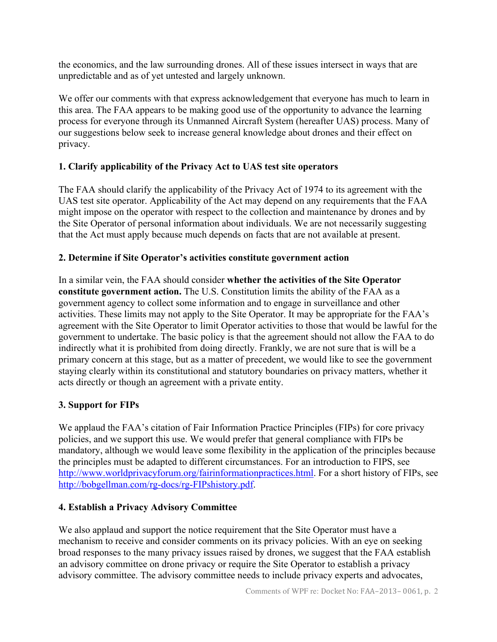the economics, and the law surrounding drones. All of these issues intersect in ways that are unpredictable and as of yet untested and largely unknown.

We offer our comments with that express acknowledgement that everyone has much to learn in this area. The FAA appears to be making good use of the opportunity to advance the learning process for everyone through its Unmanned Aircraft System (hereafter UAS) process. Many of our suggestions below seek to increase general knowledge about drones and their effect on privacy.

## **1. Clarify applicability of the Privacy Act to UAS test site operators**

The FAA should clarify the applicability of the Privacy Act of 1974 to its agreement with the UAS test site operator. Applicability of the Act may depend on any requirements that the FAA might impose on the operator with respect to the collection and maintenance by drones and by the Site Operator of personal information about individuals. We are not necessarily suggesting that the Act must apply because much depends on facts that are not available at present.

## **2. Determine if Site Operator's activities constitute government action**

In a similar vein, the FAA should consider **whether the activities of the Site Operator constitute government action.** The U.S. Constitution limits the ability of the FAA as a government agency to collect some information and to engage in surveillance and other activities. These limits may not apply to the Site Operator. It may be appropriate for the FAA's agreement with the Site Operator to limit Operator activities to those that would be lawful for the government to undertake. The basic policy is that the agreement should not allow the FAA to do indirectly what it is prohibited from doing directly. Frankly, we are not sure that is will be a primary concern at this stage, but as a matter of precedent, we would like to see the government staying clearly within its constitutional and statutory boundaries on privacy matters, whether it acts directly or though an agreement with a private entity.

# **3. Support for FIPs**

We applaud the FAA's citation of Fair Information Practice Principles (FIPs) for core privacy policies, and we support this use. We would prefer that general compliance with FIPs be mandatory, although we would leave some flexibility in the application of the principles because the principles must be adapted to different circumstances. For an introduction to FIPS, see http://www.worldprivacyforum.org/fairinformationpractices.html. For a short history of FIPs, see http://bobgellman.com/rg-docs/rg-FIPshistory.pdf.

## **4. Establish a Privacy Advisory Committee**

We also applaud and support the notice requirement that the Site Operator must have a mechanism to receive and consider comments on its privacy policies. With an eye on seeking broad responses to the many privacy issues raised by drones, we suggest that the FAA establish an advisory committee on drone privacy or require the Site Operator to establish a privacy advisory committee. The advisory committee needs to include privacy experts and advocates,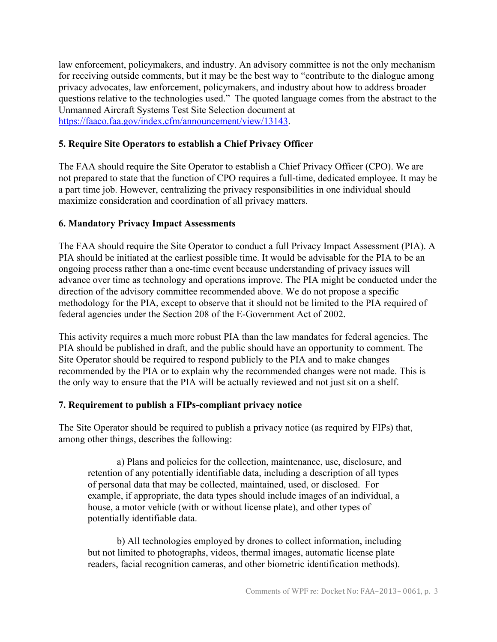law enforcement, policymakers, and industry. An advisory committee is not the only mechanism for receiving outside comments, but it may be the best way to "contribute to the dialogue among privacy advocates, law enforcement, policymakers, and industry about how to address broader questions relative to the technologies used." The quoted language comes from the abstract to the Unmanned Aircraft Systems Test Site Selection document at https://faaco.faa.gov/index.cfm/announcement/view/13143.

### **5. Require Site Operators to establish a Chief Privacy Officer**

The FAA should require the Site Operator to establish a Chief Privacy Officer (CPO). We are not prepared to state that the function of CPO requires a full-time, dedicated employee. It may be a part time job. However, centralizing the privacy responsibilities in one individual should maximize consideration and coordination of all privacy matters.

### **6. Mandatory Privacy Impact Assessments**

The FAA should require the Site Operator to conduct a full Privacy Impact Assessment (PIA). A PIA should be initiated at the earliest possible time. It would be advisable for the PIA to be an ongoing process rather than a one-time event because understanding of privacy issues will advance over time as technology and operations improve. The PIA might be conducted under the direction of the advisory committee recommended above. We do not propose a specific methodology for the PIA, except to observe that it should not be limited to the PIA required of federal agencies under the Section 208 of the E-Government Act of 2002.

This activity requires a much more robust PIA than the law mandates for federal agencies. The PIA should be published in draft, and the public should have an opportunity to comment. The Site Operator should be required to respond publicly to the PIA and to make changes recommended by the PIA or to explain why the recommended changes were not made. This is the only way to ensure that the PIA will be actually reviewed and not just sit on a shelf.

#### **7. Requirement to publish a FIPs-compliant privacy notice**

The Site Operator should be required to publish a privacy notice (as required by FIPs) that, among other things, describes the following:

a) Plans and policies for the collection, maintenance, use, disclosure, and retention of any potentially identifiable data, including a description of all types of personal data that may be collected, maintained, used, or disclosed. For example, if appropriate, the data types should include images of an individual, a house, a motor vehicle (with or without license plate), and other types of potentially identifiable data.

b) All technologies employed by drones to collect information, including but not limited to photographs, videos, thermal images, automatic license plate readers, facial recognition cameras, and other biometric identification methods).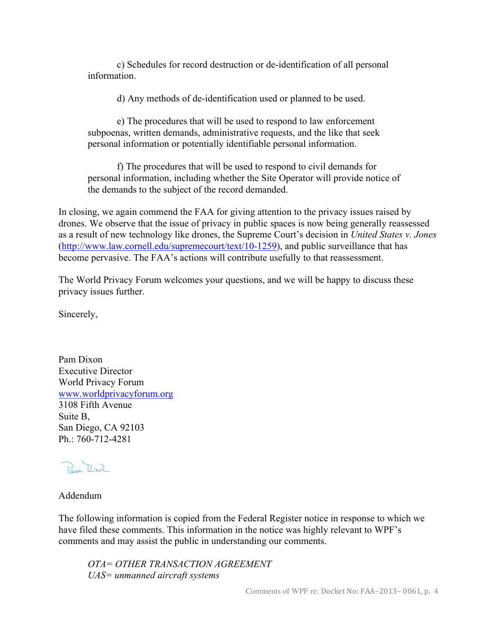c) Schedules for record destruction or de-identification of all personal information.

d) Any methods of de-identification used or planned to be used.

e) The procedures that will be used to respond to law enforcement subpoenas, written demands, administrative requests, and the like that seek personal information or potentially identifiable personal information.

f) The procedures that will be used to respond to civil demands for personal information, including whether the Site Operator will provide notice of the demands to the subject of the record demanded.

In closing, we again commend the FAA for giving attention to the privacy issues raised by drones. We observe that the issue of privacy in public spaces is now being generally reassessed as a result of new technology like drones, the Supreme Court's decision in *United States v. Jones* (http://www.law.cornell.edu/supremecourt/text/10-1259), and public surveillance that has become pervasive. The FAA's actions will contribute usefully to that reassessment.

The World Privacy Forum welcomes your questions, and we will be happy to discuss these privacy issues further.

Sincerely,

Pam Dixon Executive Director World Privacy Forum www.worldprivacyforum.org 3108 Fifth Avenue Suite B, San Diego, CA 92103  $Ph \cdot 760 - 712 - 4281$ 

Paul RXX

#### Addendum

The following information is copied from the Federal Register notice in response to which we have filed these comments. This information in the notice was highly relevant to WPF's comments and may assist the public in understanding our comments.

*OTA= OTHER TRANSACTION AGREEMENT UAS= unmanned aircraft systems*